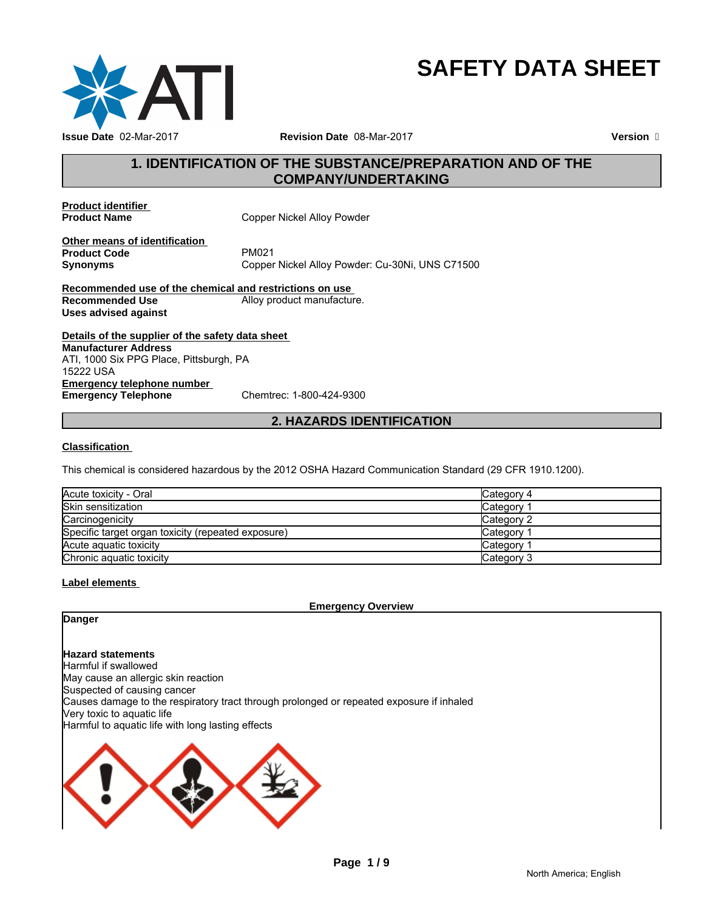

# **SAFETY DATA SHEET**

# **1. IDENTIFICATION OF THE SUBSTANCE/PREPARATION AND OF THE COMPANY/UNDERTAKING**

**Product identifier** 

**Copper Nickel Alloy Powder** 

**Other means of identification**<br>**Product Code** PM021 **Product Code**<br>Synonyms

Copper Nickel Alloy Powder: Cu-30Ni, UNS C71500

**Recommended use of the chemical and restrictions on use Recommended Use Alloy product manufacture. Uses advised against**

**Details of the supplier of the safety data sheet Emergency telephone number**<br> **Emergency Telephone**<br>
Chemtrec: 1-800-424-9300 **Emergency Telephone Manufacturer Address** ATI, 1000 Six PPG Place, Pittsburgh, PA 15222 USA

# **2. HAZARDS IDENTIFICATION**

#### **Classification**

This chemical is considered hazardous by the 2012 OSHA Hazard Communication Standard (29 CFR 1910.1200).

| Acute toxicity - Oral                              | Category 4            |
|----------------------------------------------------|-----------------------|
| Skin sensitization                                 | Category <sup>2</sup> |
| Carcinogenicity                                    | Category 2            |
| Specific target organ toxicity (repeated exposure) | Category <sup>2</sup> |
| Acute aguatic toxicity                             | Category <sup>2</sup> |
| Chronic aquatic toxicity                           | Category 3            |

#### **Label elements**

**Emergency Overview**

# **Danger**

**Hazard statements** Harmful if swallowed May cause an allergic skin reaction Suspected of causing cancer Causes damage to the respiratory tract through prolonged or repeated exposure if inhaled Very toxic to aquatic life Harmful to aquatic life with long lasting effects

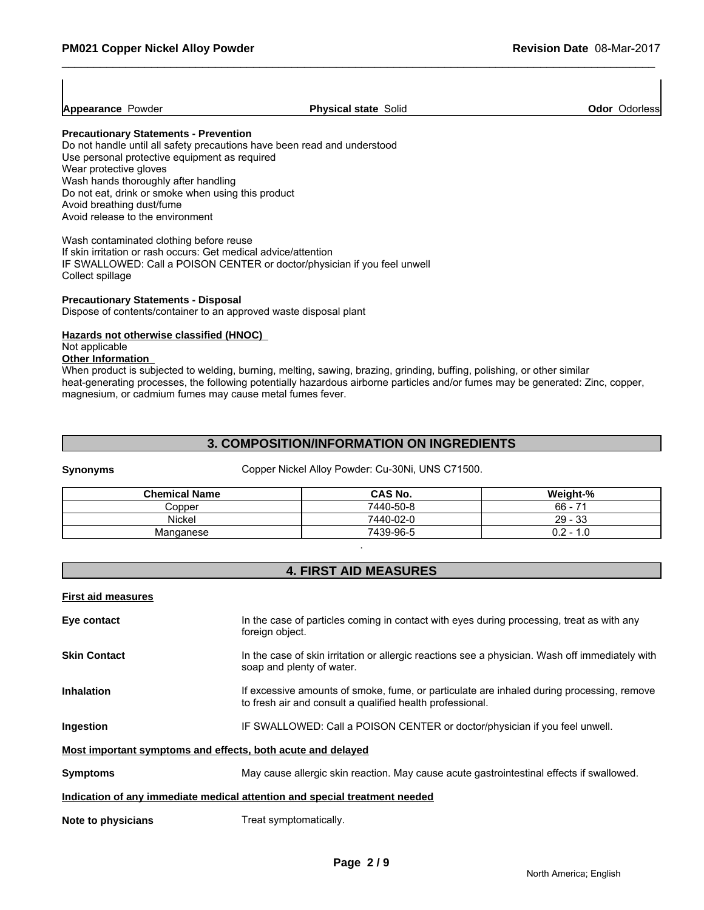**Appearance Powder Physical state Solid Physical state Solid Physical state Solid Physical state Solid Physical** 

#### **Precautionary Statements - Prevention**

Do not handle until all safety precautions have been read and understood Use personal protective equipment as required Wear protective gloves Wash hands thoroughly after handling Do not eat, drink or smoke when using this product Avoid breathing dust/fume Avoid release to the environment

Wash contaminated clothing before reuse If skin irritation or rash occurs: Get medical advice/attention IF SWALLOWED: Call a POISON CENTER or doctor/physician if you feel unwell Collect spillage

#### **Precautionary Statements - Disposal**

Dispose of contents/container to an approved waste disposal plant

# **Hazards not otherwise classified (HNOC)**

#### Not applicable **Other Information**

When product is subjected to welding, burning, melting, sawing, brazing, grinding, buffing, polishing, or other similar heat-generating processes, the following potentially hazardous airborne particles and/or fumes may be generated: Zinc, copper, magnesium, or cadmium fumes may cause metal fumes fever.

# **3. COMPOSITION/INFORMATION ON INGREDIENTS**

**Synonyms** Copper Nickel Alloy Powder: Cu-30Ni, UNS C71500.

| <b>Chemical Name</b> | CAS No.   | Weight-%            |
|----------------------|-----------|---------------------|
| Copper               | 7440-50-8 | $\rightarrow$<br>66 |
| <b>Nickel</b>        | 7440-02-0 | 29<br>$\sim$<br>ుం  |
| Manganese            | 7439-96-5 | 0.2<br>. .0         |

# **4. FIRST AID MEASURES**

.

#### **First aid measures**

| Eye contact                                                 | In the case of particles coming in contact with eyes during processing, treat as with any<br>foreign object.                                           |
|-------------------------------------------------------------|--------------------------------------------------------------------------------------------------------------------------------------------------------|
| <b>Skin Contact</b>                                         | In the case of skin irritation or allergic reactions see a physician. Wash off immediately with<br>soap and plenty of water.                           |
| <b>Inhalation</b>                                           | If excessive amounts of smoke, fume, or particulate are inhaled during processing, remove<br>to fresh air and consult a qualified health professional. |
| Ingestion                                                   | IF SWALLOWED: Call a POISON CENTER or doctor/physician if you feel unwell.                                                                             |
| Most important symptoms and effects, both acute and delayed |                                                                                                                                                        |
| <b>Symptoms</b>                                             | May cause allergic skin reaction. May cause acute gastrointestinal effects if swallowed.                                                               |
|                                                             | Indication of any immediate medical attention and special treatment needed                                                                             |
| Note to physicians                                          | Treat symptomatically.                                                                                                                                 |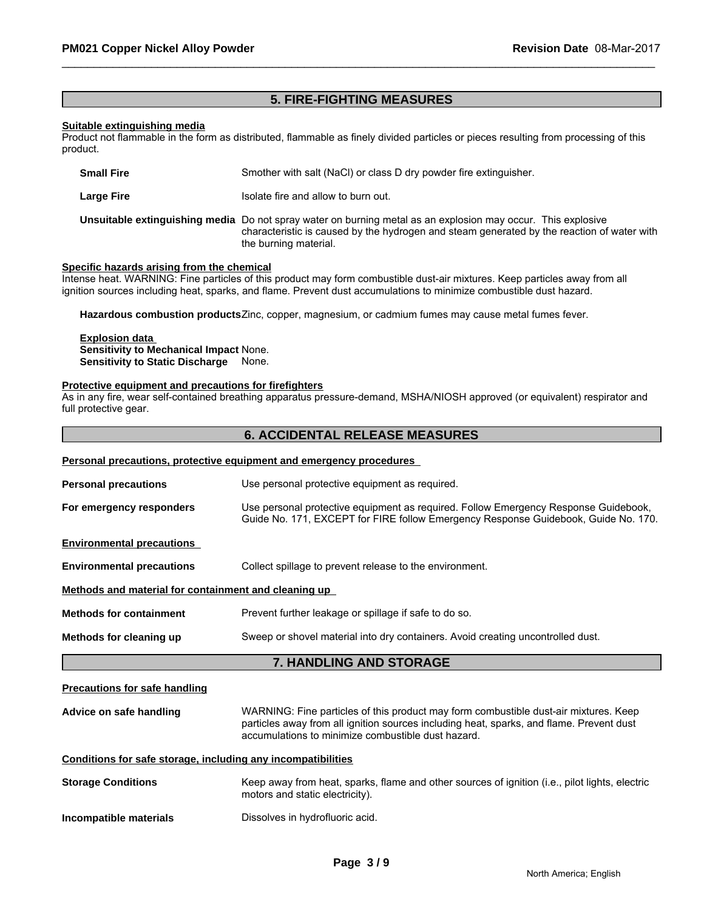# **5. FIRE-FIGHTING MEASURES**

#### **Suitable extinguishing media**

Product not flammable in the form as distributed, flammable as finely divided particles or pieces resulting from processing of this product.

| <b>Small Fire</b> | Smother with salt (NaCl) or class D dry powder fire extinguisher.                                                                                                                                                                   |
|-------------------|-------------------------------------------------------------------------------------------------------------------------------------------------------------------------------------------------------------------------------------|
| Large Fire        | Isolate fire and allow to burn out.                                                                                                                                                                                                 |
|                   | Unsuitable extinguishing media Do not spray water on burning metal as an explosion may occur. This explosive<br>characteristic is caused by the hydrogen and steam generated by the reaction of water with<br>the burning material. |

#### **Specific hazards arising from the chemical**

Intense heat. WARNING: Fine particles of this product may form combustible dust-air mixtures. Keep particles away from all ignition sources including heat, sparks, and flame. Prevent dust accumulations to minimize combustible dust hazard.

**Hazardous combustion products**Zinc, copper, magnesium, or cadmium fumes may cause metal fumes fever.

#### **Explosion data Sensitivity to Mechanical Impact** None. **Sensitivity to Static Discharge** None.

#### **Protective equipment and precautions for firefighters**

As in any fire, wear self-contained breathing apparatus pressure-demand, MSHA/NIOSH approved (or equivalent) respirator and full protective gear.

#### **6. ACCIDENTAL RELEASE MEASURES**

|                                                              | Personal precautions, protective equipment and emergency procedures                                                                                                                                                                    |  |  |
|--------------------------------------------------------------|----------------------------------------------------------------------------------------------------------------------------------------------------------------------------------------------------------------------------------------|--|--|
| <b>Personal precautions</b>                                  | Use personal protective equipment as required.                                                                                                                                                                                         |  |  |
| For emergency responders                                     | Use personal protective equipment as required. Follow Emergency Response Guidebook,<br>Guide No. 171, EXCEPT for FIRE follow Emergency Response Guidebook, Guide No. 170.                                                              |  |  |
| <b>Environmental precautions</b>                             |                                                                                                                                                                                                                                        |  |  |
| <b>Environmental precautions</b>                             | Collect spillage to prevent release to the environment.                                                                                                                                                                                |  |  |
| Methods and material for containment and cleaning up         |                                                                                                                                                                                                                                        |  |  |
| <b>Methods for containment</b>                               | Prevent further leakage or spillage if safe to do so.                                                                                                                                                                                  |  |  |
| Methods for cleaning up                                      | Sweep or shovel material into dry containers. Avoid creating uncontrolled dust.                                                                                                                                                        |  |  |
|                                                              | 7. HANDLING AND STORAGE                                                                                                                                                                                                                |  |  |
| <b>Precautions for safe handling</b>                         |                                                                                                                                                                                                                                        |  |  |
| Advice on safe handling                                      | WARNING: Fine particles of this product may form combustible dust-air mixtures. Keep<br>particles away from all ignition sources including heat, sparks, and flame. Prevent dust<br>accumulations to minimize combustible dust hazard. |  |  |
| Conditions for safe storage, including any incompatibilities |                                                                                                                                                                                                                                        |  |  |
| <b>Storage Conditions</b>                                    | Keep away from heat, sparks, flame and other sources of ignition (i.e., pilot lights, electric<br>motors and static electricity).                                                                                                      |  |  |
| Incompatible materials                                       | Dissolves in hydrofluoric acid.                                                                                                                                                                                                        |  |  |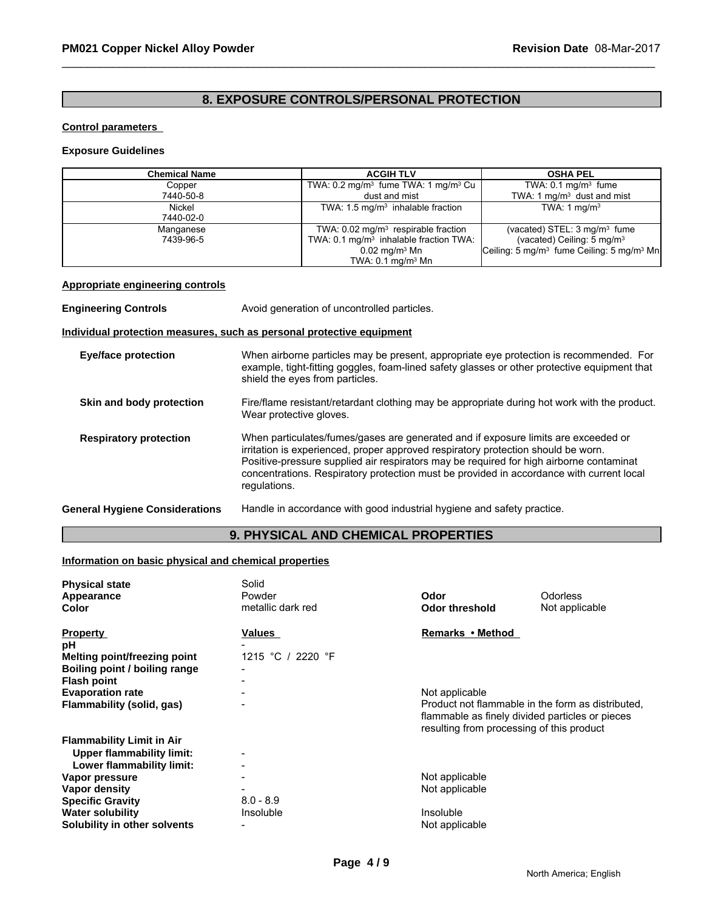# **8. EXPOSURE CONTROLS/PERSONAL PROTECTION**

#### **Control parameters**

#### **Exposure Guidelines**

| <b>Chemical Name</b>                                                  | <b>ACGIH TLV</b>                                                                                                                                                                       |                                                             | <b>OSHA PEL</b>                                                   |  |
|-----------------------------------------------------------------------|----------------------------------------------------------------------------------------------------------------------------------------------------------------------------------------|-------------------------------------------------------------|-------------------------------------------------------------------|--|
| Copper                                                                |                                                                                                                                                                                        | TWA: 0.2 mg/m <sup>3</sup> fume TWA: 1 mg/m <sup>3</sup> Cu | TWA: $0.1 \text{ mg/m}^3$ fume                                    |  |
| 7440-50-8                                                             |                                                                                                                                                                                        | dust and mist                                               | TWA: 1 $mq/m3$ dust and mist                                      |  |
| Nickel                                                                |                                                                                                                                                                                        | TWA: $1.5 \text{ mg/m}^3$ inhalable fraction                | TWA: 1 $mq/m3$                                                    |  |
| 7440-02-0                                                             |                                                                                                                                                                                        |                                                             |                                                                   |  |
| Manganese                                                             |                                                                                                                                                                                        | TWA: $0.02 \text{ mg/m}^3$ respirable fraction              | (vacated) STEL: $3 \text{ mg/m}^3$ fume                           |  |
| 7439-96-5                                                             |                                                                                                                                                                                        | TWA: 0.1 mg/m <sup>3</sup> inhalable fraction TWA:          | (vacated) Ceiling: $5 \text{ mg/m}^3$                             |  |
|                                                                       |                                                                                                                                                                                        | $0.02$ mg/m <sup>3</sup> Mn                                 | Ceiling: 5 mg/m <sup>3</sup> fume Ceiling: 5 mg/m <sup>3</sup> Mn |  |
|                                                                       |                                                                                                                                                                                        | TWA: $0.1$ mg/m $3$ Mn                                      |                                                                   |  |
| <b>Appropriate engineering controls</b>                               |                                                                                                                                                                                        |                                                             |                                                                   |  |
| <b>Engineering Controls</b>                                           |                                                                                                                                                                                        | Avoid generation of uncontrolled particles.                 |                                                                   |  |
| Individual protection measures, such as personal protective equipment |                                                                                                                                                                                        |                                                             |                                                                   |  |
| Eye/face protection                                                   | When airborne particles may be present, appropriate eye protection is recommended. For<br>example, tight fitting googles, foam lined safety glasses or other protective equipment that |                                                             |                                                                   |  |

|                               | example, tight-fitting goggles, foam-lined safety glasses or other protective equipment that<br>shield the eyes from particles.                                                                                                                                                                                                                                                |
|-------------------------------|--------------------------------------------------------------------------------------------------------------------------------------------------------------------------------------------------------------------------------------------------------------------------------------------------------------------------------------------------------------------------------|
| Skin and body protection      | Fire/flame resistant/retardant clothing may be appropriate during hot work with the product.<br>Wear protective gloves.                                                                                                                                                                                                                                                        |
| <b>Respiratory protection</b> | When particulates/fumes/gases are generated and if exposure limits are exceeded or<br>irritation is experienced, proper approved respiratory protection should be worn.<br>Positive-pressure supplied air respirators may be required for high airborne contaminat<br>concentrations. Respiratory protection must be provided in accordance with current local<br>regulations. |

**General Hygiene Considerations** Handle in accordance with good industrial hygiene and safety practice.

# **9. PHYSICAL AND CHEMICAL PROPERTIES**

#### **Information on basic physical and chemical properties**

| <b>Physical state</b>            | Solid                    |                                           |                                                                                                      |
|----------------------------------|--------------------------|-------------------------------------------|------------------------------------------------------------------------------------------------------|
| Appearance                       | Powder                   | Odor                                      | Odorless                                                                                             |
| Color                            | metallic dark red        | <b>Odor threshold</b>                     | Not applicable                                                                                       |
| <b>Property</b>                  | Values                   | Remarks • Method                          |                                                                                                      |
| рH                               |                          |                                           |                                                                                                      |
| Melting point/freezing point     | 1215 °C / 2220 °F        |                                           |                                                                                                      |
| Boiling point / boiling range    | $\overline{\phantom{0}}$ |                                           |                                                                                                      |
| <b>Flash point</b>               |                          |                                           |                                                                                                      |
| <b>Evaporation rate</b>          |                          | Not applicable                            |                                                                                                      |
| Flammability (solid, gas)        |                          | resulting from processing of this product | Product not flammable in the form as distributed.<br>flammable as finely divided particles or pieces |
| <b>Flammability Limit in Air</b> |                          |                                           |                                                                                                      |
| Upper flammability limit:        | $\overline{a}$           |                                           |                                                                                                      |
| Lower flammability limit:        |                          |                                           |                                                                                                      |
| Vapor pressure                   | $\blacksquare$           | Not applicable                            |                                                                                                      |
| Vapor density                    |                          | Not applicable                            |                                                                                                      |
| <b>Specific Gravity</b>          | $8.0 - 8.9$              |                                           |                                                                                                      |
| <b>Water solubility</b>          | Insoluble                | Insoluble                                 |                                                                                                      |
| Solubility in other solvents     |                          | Not applicable                            |                                                                                                      |
|                                  |                          |                                           |                                                                                                      |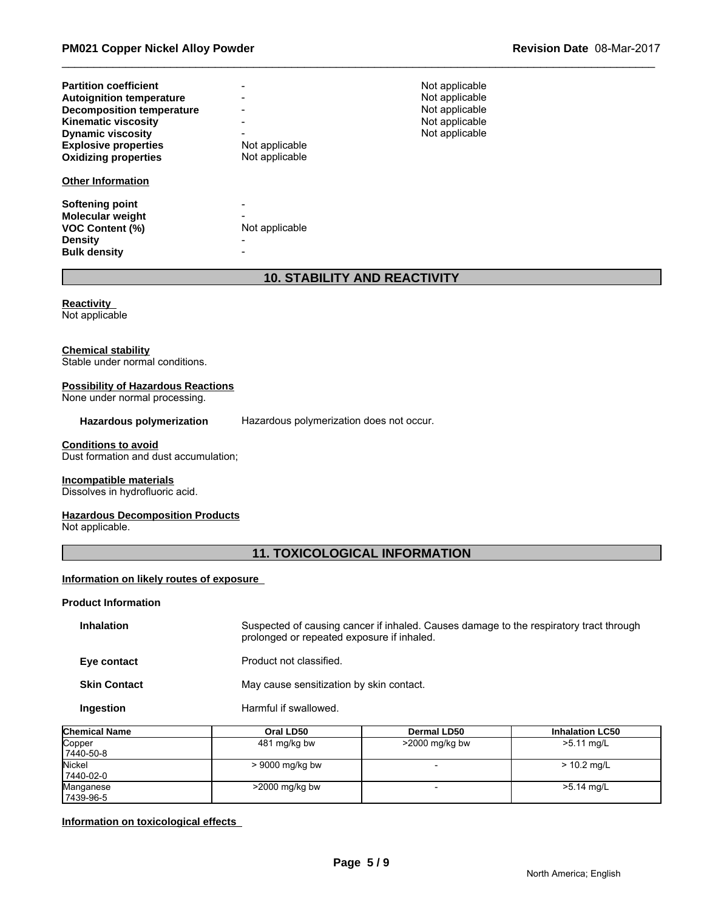| <b>Partition coefficient</b>               |                | Not applicable |
|--------------------------------------------|----------------|----------------|
| <b>Autoignition temperature</b>            |                | Not applicable |
| <b>Decomposition temperature</b>           |                | Not applicable |
| <b>Kinematic viscosity</b>                 |                | Not applicable |
| <b>Dynamic viscosity</b>                   |                | Not applicable |
| <b>Explosive properties</b>                | Not applicable |                |
| <b>Oxidizing properties</b>                | Not applicable |                |
|                                            |                |                |
| <b>Other Information</b>                   |                |                |
|                                            |                |                |
| Softening point                            |                |                |
| Molecular weight<br><b>VOC Content (%)</b> | Not applicable |                |
| <b>Density</b>                             |                |                |

# **10. STABILITY AND REACTIVITY**

#### **Reactivity**  Not applicable

#### **Chemical stability**

Stable under normal conditions.

#### **Possibility of Hazardous Reactions**

None under normal processing.

#### **Hazardous polymerization** Hazardous polymerization does not occur.

#### **Conditions to avoid**

Dust formation and dust accumulation;

#### **Incompatible materials**

Dissolves in hydrofluoric acid.

#### **Hazardous Decomposition Products**

Not applicable.

# **11. TOXICOLOGICAL INFORMATION**

#### **Information on likely routes of exposure**

#### **Product Information**

| <b>Inhalation</b>   | Suspected of causing cancer if inhaled. Causes damage to the respiratory tract through<br>prolonged or repeated exposure if inhaled. |
|---------------------|--------------------------------------------------------------------------------------------------------------------------------------|
| Eye contact         | Product not classified.                                                                                                              |
| <b>Skin Contact</b> | May cause sensitization by skin contact.                                                                                             |
| Ingestion           | Harmful if swallowed.                                                                                                                |

| <b>Chemical Name</b> | Oral LD50         | Dermal LD50       | <b>Inhalation LC50</b> |
|----------------------|-------------------|-------------------|------------------------|
| Copper               | 481 mg/kg bw      | $>$ 2000 mg/kg bw | $>5.11$ mg/L           |
| 7440-50-8            |                   |                   |                        |
| Nickel               | > 9000 mg/kg bw   |                   | $> 10.2$ mg/L          |
| 7440-02-0            |                   |                   |                        |
| Manganese            | $>$ 2000 mg/kg bw |                   | >5.14 mg/L             |
| 17439-96-5           |                   |                   |                        |

# **Information on toxicological effects**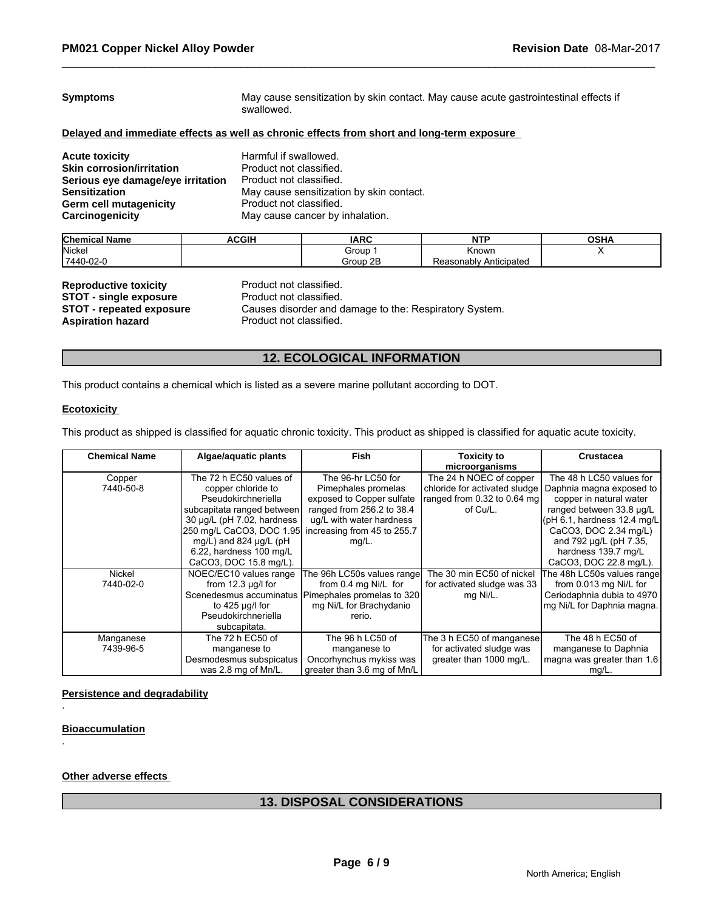| <b>Symptoms</b>                                                                            | May cause sensitization by skin contact. May cause acute gastrointestinal effects if<br>swallowed. |  |  |  |
|--------------------------------------------------------------------------------------------|----------------------------------------------------------------------------------------------------|--|--|--|
| Delayed and immediate effects as well as chronic effects from short and long-term exposure |                                                                                                    |  |  |  |
| <b>Acute toxicity</b>                                                                      | Harmful if swallowed.                                                                              |  |  |  |
| <b>Skin corrosion/irritation</b>                                                           | Product not classified.                                                                            |  |  |  |
| Serious eye damage/eye irritation                                                          | Product not classified.                                                                            |  |  |  |
| <b>Sensitization</b>                                                                       | May cause sensitization by skin contact.                                                           |  |  |  |
| Germ cell mutagenicity                                                                     | Product not classified.                                                                            |  |  |  |
| Carcinogenicity                                                                            | May cause cancer by inhalation.                                                                    |  |  |  |

| <b>Chemical</b><br>.<br>l Name | <b>ACGIF</b> | <b>IARC</b>                            | NITO                      | $\sim$ u<br>אחט |
|--------------------------------|--------------|----------------------------------------|---------------------------|-----------------|
| Nickel                         |              | Group                                  | <b>Known</b>              |                 |
| 7440-02-0                      |              | つト<br>Group<br><b><i><u>LL</u></i></b> | Anticipated<br>Reasonablv |                 |

| <b>Reproductive toxicity</b>    | Product not classified.                                |
|---------------------------------|--------------------------------------------------------|
| <b>STOT - single exposure</b>   | Product not classified.                                |
| <b>STOT - repeated exposure</b> | Causes disorder and damage to the: Respiratory System. |
| Aspiration hazard               | Product not classified.                                |

# **12. ECOLOGICAL INFORMATION**

This product contains a chemical which is listed as a severe marine pollutant according to DOT.

#### **Ecotoxicity**

This product as shipped is classified for aquatic chronic toxicity. This product as shipped is classified for aquatic acute toxicity.

| <b>Chemical Name</b> | Algae/aquatic plants                                 | <b>Fish</b>                                          | <b>Toxicity to</b>            | Crustacea                    |
|----------------------|------------------------------------------------------|------------------------------------------------------|-------------------------------|------------------------------|
|                      |                                                      |                                                      | microorganisms                |                              |
| Copper               | The 72 h EC50 values of                              | The 96-hr LC50 for                                   | The 24 h NOEC of copper       | The 48 h LC50 values for     |
| 7440-50-8            | copper chloride to                                   | Pimephales promelas                                  | chloride for activated sludge | Daphnia magna exposed to     |
|                      | Pseudokirchneriella                                  | exposed to Copper sulfate                            | ranged from 0.32 to 0.64 mg   | copper in natural water      |
|                      | subcapitata ranged between                           | ranged from 256.2 to 38.4                            | of Cu/L.                      | ranged between 33.8 µg/L     |
|                      | 30 µg/L (pH 7.02, hardness                           | ug/L with water hardness                             |                               | (pH 6.1, hardness 12.4 mg/L) |
|                      | 250 mg/L CaCO3, DOC 1.95 increasing from 45 to 255.7 |                                                      |                               | CaCO3, DOC 2.34 mg/L)        |
|                      | mg/L) and 824 $\mu$ g/L (pH                          | mg/L.                                                |                               | and 792 µg/L (pH 7.35,       |
|                      | 6.22, hardness 100 mg/L                              |                                                      |                               | hardness 139.7 mg/L          |
|                      | CaCO3, DOC 15.8 mg/L).                               |                                                      |                               | CaCO3, DOC 22.8 mg/L).       |
| Nickel               | NOEC/EC10 values range                               | The 96h LC50s values range                           | The 30 min EC50 of nickel     | The 48h LC50s values range   |
| 7440-02-0            | from $12.3 \mu g/l$ for                              | from 0.4 mg Ni/L for                                 | for activated sludge was 33   | from 0.013 mg Ni/L for       |
|                      |                                                      | Scenedesmus accuminatus   Pimephales promelas to 320 | mg Ni/L.                      | Ceriodaphnia dubia to 4970   |
|                      | to $425 \mu q/l$ for                                 | mg Ni/L for Brachydanio                              |                               | mg Ni/L for Daphnia magna.   |
|                      | Pseudokirchneriella                                  | rerio.                                               |                               |                              |
|                      | subcapitata.                                         |                                                      |                               |                              |
| Manganese            | The 72 h EC50 of                                     | The 96 h LC50 of                                     | The 3 h EC50 of manganese     | The 48 h EC50 of             |
| 7439-96-5            | manganese to                                         | manganese to                                         | for activated sludge was      | manganese to Daphnia         |
|                      | Desmodesmus subspicatus                              | Oncorhynchus mykiss was                              | greater than 1000 mg/L.       | magna was greater than 1.6   |
|                      | was 2.8 mg of Mn/L.                                  | greater than 3.6 mg of Mn/L                          |                               | $mg/L$ .                     |

#### **Persistence and degradability**

**Bioaccumulation**

.

.

**Other adverse effects** 

# **13. DISPOSAL CONSIDERATIONS**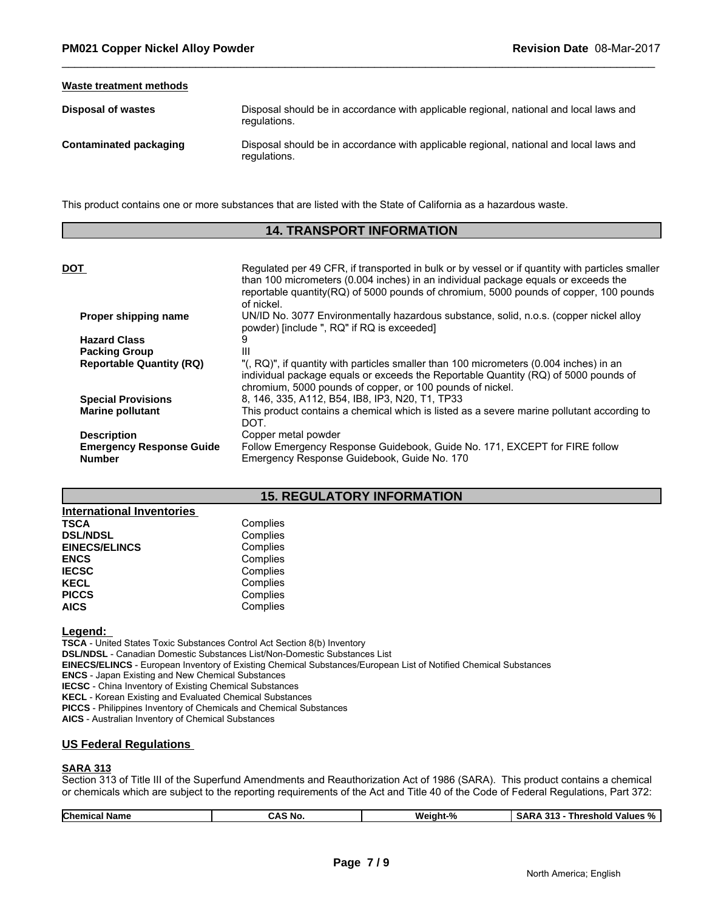#### **Waste treatment methods**

| <b>Disposal of wastes</b>     | Disposal should be in accordance with applicable regional, national and local laws and<br>regulations. |
|-------------------------------|--------------------------------------------------------------------------------------------------------|
| <b>Contaminated packaging</b> | Disposal should be in accordance with applicable regional, national and local laws and<br>requlations. |

This product contains one or more substances that are listed with the State of California as a hazardous waste.

#### **14. TRANSPORT INFORMATION**

| <b>DOT</b>                                                             | Regulated per 49 CFR, if transported in bulk or by vessel or if quantity with particles smaller<br>than 100 micrometers (0.004 inches) in an individual package equals or exceeds the<br>reportable quantity (RQ) of 5000 pounds of chromium, 5000 pounds of copper, 100 pounds<br>of nickel. |
|------------------------------------------------------------------------|-----------------------------------------------------------------------------------------------------------------------------------------------------------------------------------------------------------------------------------------------------------------------------------------------|
| Proper shipping name                                                   | UN/ID No. 3077 Environmentally hazardous substance, solid, n.o.s. (copper nickel alloy<br>powder) [include ", RQ" if RQ is exceeded]                                                                                                                                                          |
| <b>Hazard Class</b>                                                    |                                                                                                                                                                                                                                                                                               |
| <b>Packing Group</b>                                                   | Ш                                                                                                                                                                                                                                                                                             |
| <b>Reportable Quantity (RQ)</b>                                        | "(, RQ)", if quantity with particles smaller than 100 micrometers (0.004 inches) in an<br>individual package equals or exceeds the Reportable Quantity (RQ) of 5000 pounds of<br>chromium, 5000 pounds of copper, or 100 pounds of nickel.                                                    |
| <b>Special Provisions</b>                                              | 8, 146, 335, A112, B54, IB8, IP3, N20, T1, TP33                                                                                                                                                                                                                                               |
| <b>Marine pollutant</b>                                                | This product contains a chemical which is listed as a severe marine pollutant according to<br>DOT.                                                                                                                                                                                            |
| <b>Description</b><br><b>Emergency Response Guide</b><br><b>Number</b> | Copper metal powder<br>Follow Emergency Response Guidebook, Guide No. 171, EXCEPT for FIRE follow<br>Emergency Response Guidebook, Guide No. 170                                                                                                                                              |
|                                                                        |                                                                                                                                                                                                                                                                                               |

### **15. REGULATORY INFORMATION**

| <b>International Inventories</b> |          |
|----------------------------------|----------|
| <b>TSCA</b>                      | Complies |
| <b>DSL/NDSL</b>                  | Complies |
| <b>EINECS/ELINCS</b>             | Complies |
| <b>ENCS</b>                      | Complies |
| <b>IECSC</b>                     | Complies |
| <b>KECL</b>                      | Complies |
| <b>PICCS</b>                     | Complies |
| <b>AICS</b>                      | Complies |

# **Legend:**

**TSCA** - United States Toxic Substances Control Act Section 8(b) Inventory **DSL/NDSL** - Canadian Domestic Substances List/Non-Domestic Substances List **EINECS/ELINCS** - European Inventory of Existing Chemical Substances/European List of Notified Chemical Substances **ENCS** - Japan Existing and New Chemical Substances **IECSC** - China Inventory of Existing Chemical Substances **KECL** - Korean Existing and Evaluated Chemical Substances **PICCS** - Philippines Inventory of Chemicals and Chemical Substances

**AICS** - Australian Inventory of Chemical Substances

#### **US Federal Regulations**

#### **SARA 313**

Section 313 of Title III of the Superfund Amendments and Reauthorization Act of 1986 (SARA). This product contains a chemical or chemicals which are subject to the reporting requirements of the Act and Title 40 of the Code of Federal Regulations, Part 372:

|  | <b>Chemical</b><br>Weight-%<br>$\sim$<br>-<br>CAS No<br><b>Threshold</b><br>Values %<br>l Name<br>SARA<br>. |
|--|-------------------------------------------------------------------------------------------------------------|
|--|-------------------------------------------------------------------------------------------------------------|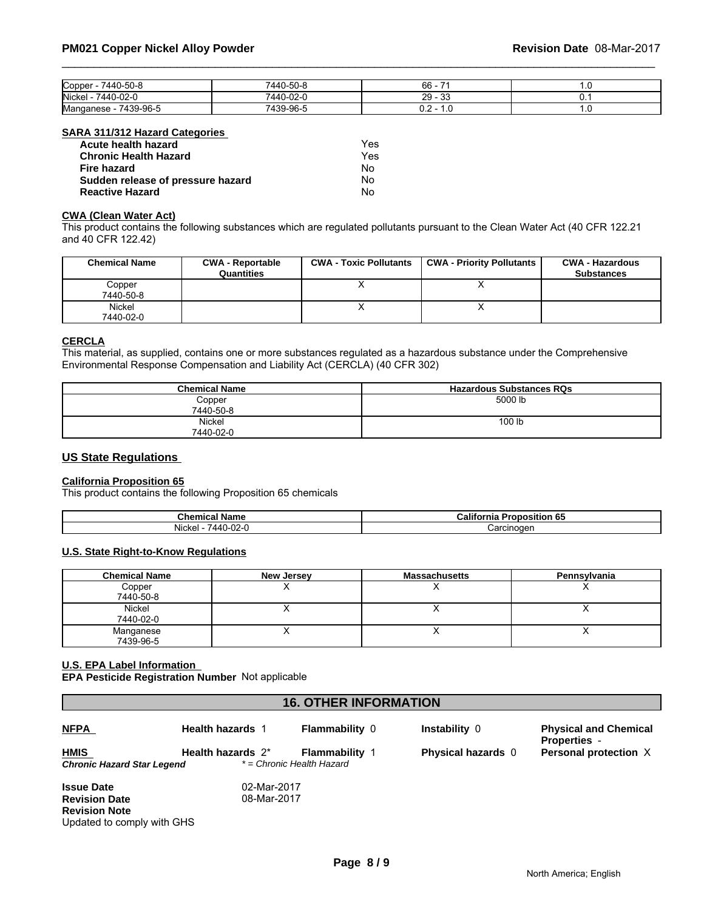| Copper<br>7440-50-8        | L50.<br>$440^{\circ}$           | 66                        |     |
|----------------------------|---------------------------------|---------------------------|-----|
| <b>Nickel</b><br>7440-02-L | 7440<br>$\sim$<br>U-UZ-I        | nn<br>$\sim$<br>-29<br>ບເ | v.  |
| 7439-96-5<br>Manganese     | $\sim$ $\sim$<br>7420<br>34-46- | .<br><b></b>              | . . |

#### **SARA 311/312 Hazard Categories**

| Acute health hazard               | Yes |
|-----------------------------------|-----|
| <b>Chronic Health Hazard</b>      | Yes |
| Fire hazard                       | N٥  |
| Sudden release of pressure hazard | No  |
| <b>Reactive Hazard</b>            | No  |

#### **CWA (Clean Water Act)**

This product contains the following substances which are regulated pollutants pursuant to the Clean Water Act (40 CFR 122.21 and 40 CFR 122.42)

| <b>Chemical Name</b> | <b>CWA - Reportable</b><br>Quantities | <b>CWA - Toxic Pollutants</b> | <b>CWA - Priority Pollutants</b> | <b>CWA - Hazardous</b><br><b>Substances</b> |
|----------------------|---------------------------------------|-------------------------------|----------------------------------|---------------------------------------------|
| Copper<br>7440-50-8  |                                       |                               | $\lambda$                        |                                             |
| Nickel<br>7440-02-0  |                                       | ,,                            | $\lambda$                        |                                             |

# **CERCLA**

This material, as supplied, contains one or more substances regulated as a hazardous substance under the Comprehensive Environmental Response Compensation and Liability Act (CERCLA) (40 CFR 302)

| <b>Chemical Name</b> | <b>Hazardous Substances RQs</b> |
|----------------------|---------------------------------|
| Copper               | 5000 lb                         |
| 7440-50-8            |                                 |
| <b>Nickel</b>        | 100 lb                          |
| 7440-02-0            |                                 |

### **US State Regulations**

# **California Proposition 65**

This product contains the following Proposition 65 chemicals

| Chemical<br>Name                       | California<br>$\sim$<br><b>Proposition 65</b> |
|----------------------------------------|-----------------------------------------------|
| <b>Nickel</b><br>$\sim$<br>AAC<br>JZ-1 | ∴arcınoɑer                                    |

#### **U.S. State Right-to-Know Regulations**

| <b>Chemical Name</b> | New Jersey | <b>Massachusetts</b> | Pennsylvania |
|----------------------|------------|----------------------|--------------|
| Copper               |            |                      |              |
| 7440-50-8            |            |                      |              |
| <b>Nickel</b>        |            |                      |              |
| 7440-02-0            |            |                      |              |
| Manganese            |            |                      |              |
| 7439-96-5            |            |                      |              |

#### **U.S. EPA Label Information**

**EPA Pesticide Registration Number** Not applicable

| <b>16. OTHER INFORMATION</b> |                         |                           |                           |                                                     |  |  |
|------------------------------|-------------------------|---------------------------|---------------------------|-----------------------------------------------------|--|--|
| <b>NFPA</b>                  | <b>Health hazards 1</b> | <b>Flammability 0</b>     | Instability 0             | <b>Physical and Chemical</b><br><b>Properties</b> - |  |  |
| <b>HMIS</b>                  | Health hazards 2*       | <b>Flammability 1</b>     | <b>Physical hazards</b> 0 | Personal protection X                               |  |  |
| Chronic Hazard Star Legend   |                         | * = Chronic Health Hazard |                           |                                                     |  |  |
| <b>Issue Date</b>            | 02-Mar-2017             |                           |                           |                                                     |  |  |
| <b>Revision Date</b>         | 08-Mar-2017             |                           |                           |                                                     |  |  |
| <b>Revision Note</b>         |                         |                           |                           |                                                     |  |  |
| Updated to comply with GHS   |                         |                           |                           |                                                     |  |  |